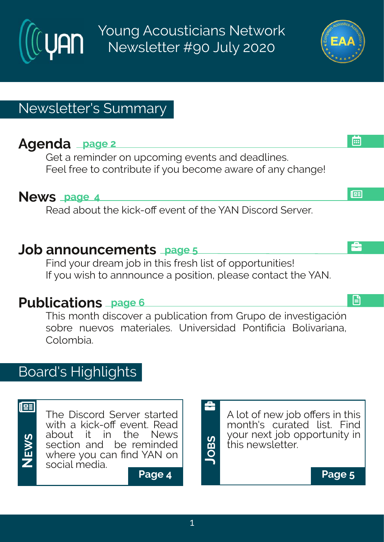Young Acousticians Network Newsletter #90 July 2020

# Newsletter's Summary

# **Agenda page 2**

Get a reminder on upcoming events and deadlines. Feel free to contribute if you become aware of any change!

### **News page 4**

Read about the kick-off event of the YAN Discord Server.

### **Job announcements page 5**

Find your dream job in this fresh list of opportunities! If you wish to annnounce a position, please contact the YAN.

# **Publications page 6**

This month discover a publication from Grupo de investigación sobre nuevos materiales. Universidad Pontificia Bolivariana, Colombia.

# Board's Highlights



**NE**

<u>ທ</u>

The Discord Server started with a kick-off event. Read about it in the News section and be reminded where you can find YAN on social media. **W**

**Page 4 Page 5**

A lot of new job offers in this month's curated list. Find your next job opportunity in this newsletter.

**JOB**<u>ທ</u>

å





l⊞

å

日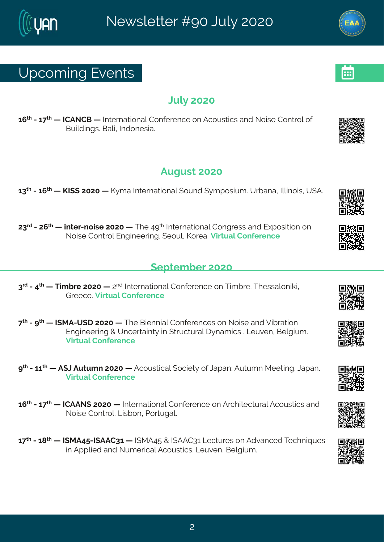# Ytgsgmk#zirxw

#### $Q/\beta$  #575

6;  $\frac{1}{2}$  #246 <  $\frac{1}{4}$  #NHFSHG# #N xi vrexmsrep#Hsrjivirgi#sr#Fgsywxngw#erh#Ssmwi#Hsrxvsp#sj# Gyndn m kw3nGepm#nx h sriwme3

### Fykyw#575

 $68^{\text{d}}$ #246;  $4$  #PN (#7575# #P}q e#Ntxivrexmsrep#(syrh#)q tswmyq 33Y vfere14hplnnsmw14Y (F3#

78<sup>vh</sup>#247; <sup>x|</sup> # # mxi v2rsmvi#7575# #Xli#9><sup>x|</sup> # Nxi vrexmsrep#Hsrkvi ww#erh#Jltswmxmsr#sr# Ssmwi#Hsrxvsp#Jrkmiiwmk3#isyp#Psvie3#Zmwyep#Hsrjivirgi

#### $($ itxig fiv#575

8<sup>vh</sup>#2#9<sup>x|</sup> # #Xmq f vi#7575# #7<sup>rh</sup>#Ntxivrexmsrep#Hsrjivirgi#sr#Xmq f vi33XI iwwepsrmom# Lvii qi 3Zmwep#Isrii virgi

< \*#2#b \*# #NIRF2Y(I#7575# #XIi#Gmirrmeno#Hsriivirgiw#sr#Ssmwi#erh#Zmfwexwsr# Jrkmii vmk#+#Yrgiwemx}#m#xwgxyvep#}reg mow#\$Qjyzir#Gipkmyg 3# Zmwep#Isrji virgi

> # #2#66 # #F (O FF y xy q r # 7575 # #F g syw xngep # sgnin x} #sj#Ceter? FF y xy q r#R i i xnn k 3#Ceter3# Znower#Hsriivirgi#

6;  $\frac{\cancel{x}}{2}$  #246 $\cancel{x}$  # #HHFFS (#7575 # #Naxivrexnstrep#Hsrijivirgi#sr#Fvglmajgxyvep#Fgsywxnogw#erh# Ssmi#Hsrxvsp&Qmfsr#Usvxykep3

6 << # #2#6=  $\frac{4}{3}$  # #NRF9: 2NFFH86 # #NRF9: #+ #NFFH86 # Qivy wits r # Fhzer gih#Xiglr muy iw # m#Fttpmh#erh#Svaiwnee#Fasywwonw&Qivzir#Ginkmya3#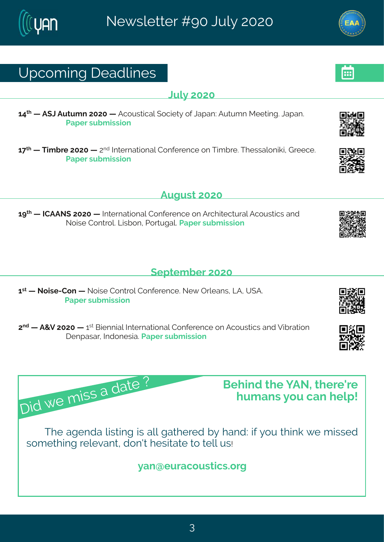# Yt gsq mk# i ehpni w

#### $Q$ <sub>D</sub> $#575$

69<sup>x</sup> # #F (O #Fyxyq r#7575# #Fgsywnogep#(sgmix) #sj#Oeter?#Fyxyq r#Riixmk3#Oeter3# Uet i v#w f q mwnsr

6<<sup>x|</sup> # #Xmg fvi#7575# #7<sup>rh</sup>#Ntxivrexmsrep#Hsrjivirgi#sr#Xmg fvi3#Xliwwepsrmom#Lviigi3# Uet i v#w f a mwnar

**Fvkvw#575** 

6 x 4 # # # HFFS (#7575 # # Naivrex on rep# Hsrjivirgi#sr#Fvglmigxyvep#Fgsywnogw#erh# Ssmithsr xxsp\$ Comf sr 1#Jsvxy kep\$ Uet iv#w f q mwnsr

 $($ itxig fiv $#$ 575

6<sup>w</sup># #Ssmwi2Hsr# #Ssmwi#Hsrxvsp#Hsrjivirgi3#Si{#Tvpierw1#QF1#Y(F3 Uet i v#w f g mwnsr

7<sup>rh</sup># #F+Z#7575# #6<sup>w</sup>#Gmirrmen#Ntxi vrexmsren#Hsrjivirgi#sr#Fgsywmonw#erh#Zmflvexmsr I i rtewev#Nthsriwme3Netiv#wfqmwnsr

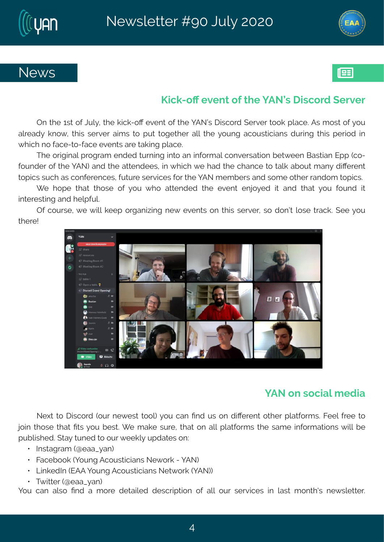

### Propo2sO#zirx#si#li#FSo\*#magsvh#ivziv

Tr#vli#6w4sj#Oyp}14xli#ongo2sO#izirx4sj#vli#jFSõW=Imngsvh#(ivziv#xsso#tpegi3#Fw#qsw4+sj#jsy# ep.ieh}#ors{1#xlmw#wivziv#emo,w#xs#tyx#xskixliv#ep.#kli#}syrk#egsywxnogmerw#hyvnnk#xlmw#tivnsh#nn# { I ral # s#eqi 2 s2jeqi # zi r xw#evi # com k # peqi 3

XI i #svnknmep# vskveq # r hi h#xyvrmk#mxs#er#mjsvq ep#gsrziwexmsr#f i x{ i i r#Gewmer#Jtt#gs2 jsyrhiv#sj#vli#, FS…#erh#vli#exvirhiiw1#m#, Imgl#, i#leh#vli#glergi#vs#vepo#efsyx#ger}#hmOivirx# xstmgw#wygl#ew#gsrjivirgiw#jyxyvi#wivzmgiw#jsv#vli#|FS#qiqfiw#erh#wsqi#sxliv#verhsq#vstmgw8

[i#lsti#xlex#xlswi#sj#}sy#{ls#exxirhih#xli#izirx#irns}ih#mx#erh#xlex#}sy#jsyrh#mx# m xi viwwn k#erh# intiyn $8$ 

Ti#gsywi1#, i#, mon#o iit#swkerm<mnk#ri{#izirxw#sr#xlmw#wivziv1#ws#hsrð4#pswi#xwego 3#(ii#)sy# & i i k

#### IFS#sr#wsqrap#q i hra

Silx#xs#1 mwgsvh#-syv#ri{iwx#xssp#jsy#ger#Prh#yw#sr#hnQivirx#sxliv#tpexjsvqw&Kfiip#jvii#xs# nsmthAls withAlextAPxwtAlsy#fiwx3aFi#qeoi#wyvi1#Alex#sr#epp#tpexisvqwtAli#weqi#mnjsvqexnsrw#[mpo#fi# tyfpnwlih 3#xe}#xyrih#xs#syv#fiiop}#ythexiw#sr?#

: ## html wwek veq # E i eec } er.

: # # Kegifsso # ] syrk # Figsy womerw \$ i { svo # 24 FS.

: # # Q moi h N # J F F # s v r k # F q s v w moner w # Si x s vo # F S ... #

:##AX{ now; w#Eieec}er.

I sv#oer#epys#Prh#e#g svi#hixemojh#hiwgymbxnsr#si#epo#svv#wiyzmojw#mn#pews#g srxl.w#ri{wojxxjv3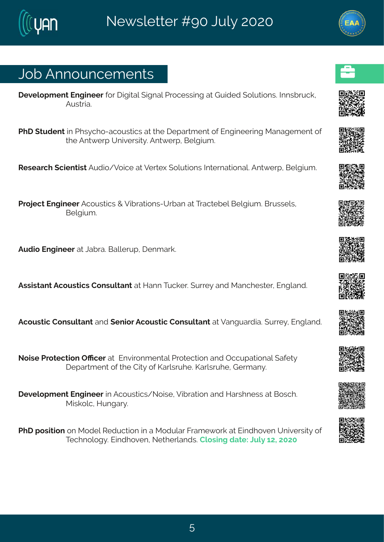### Osf#Frrsyrgiqirxw

- lizipstqirx#lrkmiiv#sv#mknxnep#mkrep#Uvsqiwwnnk#ex#Lymhih#spyxnsrw&mklrwfw,qof# Fvwwme3
- UII# xyhirx#m#UIw}gls2egsywxmgw#ex#vli#litewqirx#sj#Jrkmniiwmk#Rerekiqirx#sj# xli#Frx{ivt#Yrmziwwx}3#Frx{ivt1#Gipkmyq3

 $#$ 

W wie val# amirxnws#Fyhns4Zsmai#ex#Ziwil# spyxnsrw#ndxivrexnsrep\$#Frx{ ivt1#Gipkmyq 3  $#$ 

Uvsnigx#Jrkmii v#Fgsywxngw#+#Zmfvexnsrw2Yvfer#ex#Xvegxifip#Gipkmyq3#Gvywwipw# Gi pk ma 3

 $#$ 

Fyhna#Jrkmiiw#ex#Cefve3#Geppivyt#tirqevo3  $#$ 

Fwy may er x#Fasy ward w#Hsrw pxerx#ex#Merr#Xy goiv \$#vwi}#erh#Reraliwaiv#Urk perh3  $#$ 

Fasyword#Hsrw pxerx#erh#irmsv#Fasyword#Hsrw pxerx#ex#Zerk veyhne3#ywi}#Urk perh3  $#$ 

```
Ssmwi#Uvsxigxnsr#TRgiv#ex#Urzmsrqirxep#Uvsxigxnsr#erh#Tggytexnsrep#ejix}#
litewg ir x#sj#vli#Hnx}#sj#Peypwwyli3#Peypwwyli#Livger}3
```
I i zipst q i r x#Jrk m i i v#m#Fgsy wxngw4Ssmwi 1#Znfivexnsr#erh#Mew I riww#ex#Gswql 3# R mospg #Myrkev}3

#### $#$

UII# swomar#sr#Rship#Wihygxmsr#m#e#Rshypev#Kveqi{svo#ex#Jmhlszir#Yrmziwnx}#sj# Xiglrspsk } 剥tm h | szir14Sixliyoerhw o] Hpswnk #hexi 440y p} #67147575